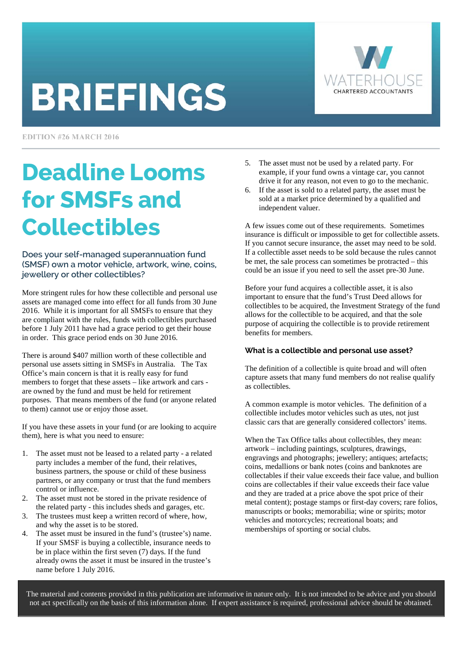# **BRIEFINGS**



**EDITION #26 MARCH 2016** 

# Deadline Looms for SMSFs and Collectibles

Does your self-managed superannuation fund (SMSF) own a motor vehicle, artwork, wine, coins, jewellery or other collectibles?

More stringent rules for how these collectible and personal use assets are managed come into effect for all funds from 30 June 2016. While it is important for all SMSFs to ensure that they are compliant with the rules, funds with collectibles purchased before 1 July 2011 have had a grace period to get their house in order. This grace period ends on 30 June 2016.

There is around \$407 million worth of these collectible and personal use assets sitting in SMSFs in Australia. The Tax Office's main concern is that it is really easy for fund members to forget that these assets – like artwork and cars are owned by the fund and must be held for retirement purposes. That means members of the fund (or anyone related to them) cannot use or enjoy those asset.

If you have these assets in your fund (or are looking to acquire them), here is what you need to ensure:

- 1. The asset must not be leased to a related party a related party includes a member of the fund, their relatives, business partners, the spouse or child of these business partners, or any company or trust that the fund members control or influence.
- 2. The asset must not be stored in the private residence of the related party - this includes sheds and garages, etc.
- 3. The trustees must keep a written record of where, how, and why the asset is to be stored.
- 4. The asset must be insured in the fund's (trustee's) name. If your SMSF is buying a collectible, insurance needs to be in place within the first seven (7) days. If the fund already owns the asset it must be insured in the trustee's name before 1 July 2016.
- 5. The asset must not be used by a related party. For example, if your fund owns a vintage car, you cannot drive it for any reason, not even to go to the mechanic.
- 6. If the asset is sold to a related party, the asset must be sold at a market price determined by a qualified and independent valuer.

A few issues come out of these requirements. Sometimes insurance is difficult or impossible to get for collectible assets. If you cannot secure insurance, the asset may need to be sold. If a collectible asset needs to be sold because the rules cannot be met, the sale process can sometimes be protracted – this could be an issue if you need to sell the asset pre-30 June.

Before your fund acquires a collectible asset, it is also important to ensure that the fund's Trust Deed allows for collectibles to be acquired, the Investment Strategy of the fund allows for the collectible to be acquired, and that the sole purpose of acquiring the collectible is to provide retirement benefits for members.

### **What is a collectible and personal use asset?**

The definition of a collectible is quite broad and will often capture assets that many fund members do not realise qualify as collectibles.

A common example is motor vehicles. The definition of a collectible includes motor vehicles such as utes, not just classic cars that are generally considered collectors' items.

When the Tax Office talks about collectibles, they mean: artwork – including paintings, sculptures, drawings, engravings and photographs; jewellery; antiques; artefacts; coins, medallions or bank notes (coins and banknotes are collectables if their value exceeds their face value, and bullion coins are collectables if their value exceeds their face value and they are traded at a price above the spot price of their metal content); postage stamps or first-day covers; rare folios, manuscripts or books; memorabilia; wine or spirits; motor vehicles and motorcycles; recreational boats; and memberships of sporting or social clubs.

The material and contents provided in this publication are informative in nature only. It is not intended to be advice and you should not act specifically on the basis of this information alone. If expert assistance is required, professional advice should be obtained.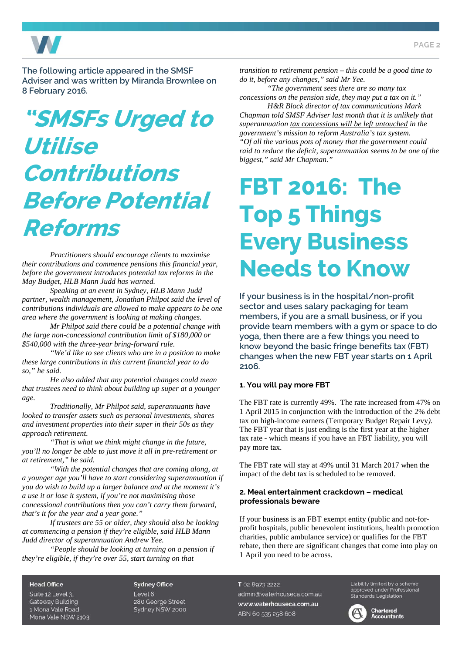

The following article appeared in the SMSF Adviser and was written by Miranda Brownlee on 8 February 2016.

# "SMSFs Urged to Utilise Contributions Before Potential Reforms

*Practitioners should encourage clients to maximise their contributions and commence pensions this financial year, before the government introduces potential tax reforms in the May Budget, HLB Mann Judd has warned.* 

*Speaking at an event in Sydney, HLB Mann Judd partner, wealth management, Jonathan Philpot said the level of contributions individuals are allowed to make appears to be one area where the government is looking at making changes.* 

*Mr Philpot said there could be a potential change with the large non-concessional contribution limit of \$180,000 or \$540,000 with the three-year bring-forward rule.* 

*"We'd like to see clients who are in a position to make these large contributions in this current financial year to do so," he said.* 

*He also added that any potential changes could mean that trustees need to think about building up super at a younger age.* 

*Traditionally, Mr Philpot said, superannuants have looked to transfer assets such as personal investments, shares and investment properties into their super in their 50s as they approach retirement.* 

*"That is what we think might change in the future, you'll no longer be able to just move it all in pre-retirement or at retirement," he said.* 

*"With the potential changes that are coming along, at a younger age you'll have to start considering superannuation if you do wish to build up a larger balance and at the moment it's a use it or lose it system, if you're not maximising those concessional contributions then you can't carry them forward, that's it for the year and a year gone."* 

*If trustees are 55 or older, they should also be looking at commencing a pension if they're eligible, said HLB Mann Judd director of superannuation Andrew Yee.* 

*"People should be looking at turning on a pension if they're eligible, if they're over 55, start turning on that* 

*transition to retirement pension – this could be a good time to do it, before any changes," said Mr Yee.* 

*"The government sees there are so many tax concessions on the pension side, they may put a tax on it."* 

*H&R Block director of tax communications Mark Chapman told SMSF Adviser last month that it is unlikely that superannuation tax concessions will be left untouched in the government's mission to reform Australia's tax system. "Of all the various pots of money that the government could raid to reduce the deficit, superannuation seems to be one of the biggest," said Mr Chapman."* 

# FBT 2016: The Top 5 Things Every Business Needs to Know

If your business is in the hospital/non-profit sector and uses salary packaging for team members, if you are a small business, or if you provide team members with a gym or space to do yoga, then there are a few things you need to know beyond the basic fringe benefits tax (FBT) changes when the new FBT year starts on 1 April 2106.

#### **1. You will pay more FBT**

The FBT rate is currently 49%. The rate increased from 47% on 1 April 2015 in conjunction with the introduction of the 2% debt tax on high-income earners (Temporary Budget Repair Levy*).*  The FBT year that is just ending is the first year at the higher tax rate - which means if you have an FBT liability, you will pay more tax.

The FBT rate will stay at 49% until 31 March 2017 when the impact of the debt tax is scheduled to be removed.

#### **2. Meal entertainment crackdown – medical professionals beware**

If your business is an FBT exempt entity (public and not-forprofit hospitals, public benevolent institutions, health promotion charities, public ambulance service) or qualifies for the FBT rebate, then there are significant changes that come into play on 1 April you need to be across.

**Head Office** 

Suite 12 Level 3. Gateway Building 1 Mona Vale Road Mona Vale NSW 2103 **Sydney Office** Level 6 280 George Street Sydney NSW 2000

#### T 02 8973 2222

admin@waterhouseca.com.au www.waterhouseca.com.au ABN 60 535 258 608

Liability limited by a scheme approved under Professional Standards Legislation

**Chartered**<br>**Accountants**